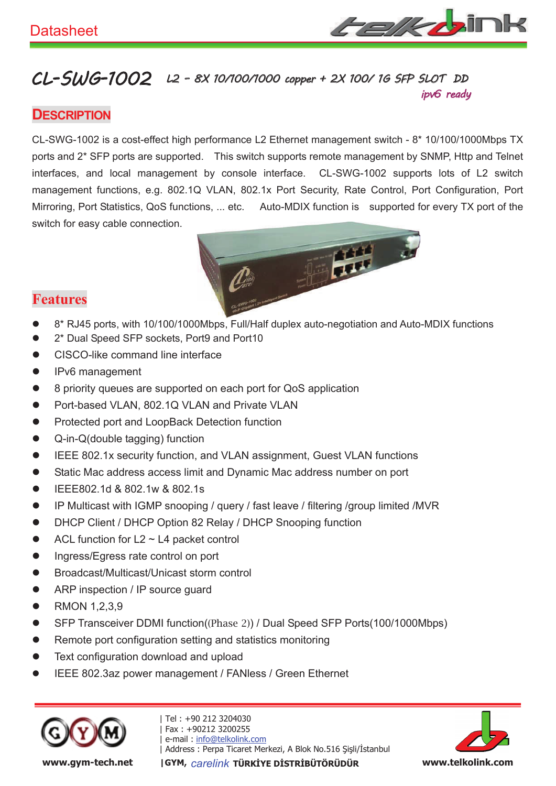

#### CL-SWG-1002 L2 - 8X 10/100/1000 copper + 2X 100/ 1G SFP SLOT DD ipv6 ready

### **DESCRIPTION**

CL-SWG-1002 is a cost-effect high performance L2 Ethernet management switch - 8\* 10/100/1000Mbps TX ports and 2\* SFP ports are supported. This switch supports remote management by SNMP, Http and Telnet interfaces, and local management by console interface. CL-SWG-1002 supports lots of L2 switch management functions, e.g. 802.1Q VLAN, 802.1x Port Security, Rate Control, Port Configuration, Port Mirroring, Port Statistics, QoS functions, ... etc. Auto-MDIX function is supported for every TX port of the switch for easy cable connection.



### **Features**

- 8\* RJ45 ports, with 10/100/1000Mbps, Full/Half duplex auto-negotiation and Auto-MDIX functions
- 2\* Dual Speed SFP sockets, Port9 and Port10
- CISCO-like command line interface
- $\bullet$  IPv6 management
- 8 priority queues are supported on each port for QoS application
- Port-based VLAN, 802.1Q VLAN and Private VLAN
- Protected port and LoopBack Detection function
- $\bullet$  Q-in-Q(double tagging) function
- **•** IEEE 802.1x security function, and VLAN assignment, Guest VLAN functions
- Static Mac address access limit and Dynamic Mac address number on port
- IEEE802.1d & 802.1w & 802.1s
- IP Multicast with IGMP snooping / query / fast leave / filtering /group limited /MVR
- DHCP Client / DHCP Option 82 Relay / DHCP Snooping function
- $\bullet$  ACL function for L2  $\sim$  L4 packet control
- **•** Ingress/Egress rate control on port
- Broadcast/Multicast/Unicast storm control
- ARP inspection / IP source guard
- $\bullet$  RMON 1,2,3,9
- SFP Transceiver DDMI function((Phase 2)) / Dual Speed SFP Ports(100/1000Mbps)
- **Remote port configuration setting and statistics monitoring**
- Text configuration download and upload
- IEEE 802.3az power management / FANIess / Green Ethernet



| Tel : +90 212 3204030 | Fax : +90212 3200255 e-mail: info@telkolink.com - !"#\$%&'()\*+, -.



www.gym-tech.net | GYM, carelink TÜRKİYE DİSTRİBÜTÖRÜDÜR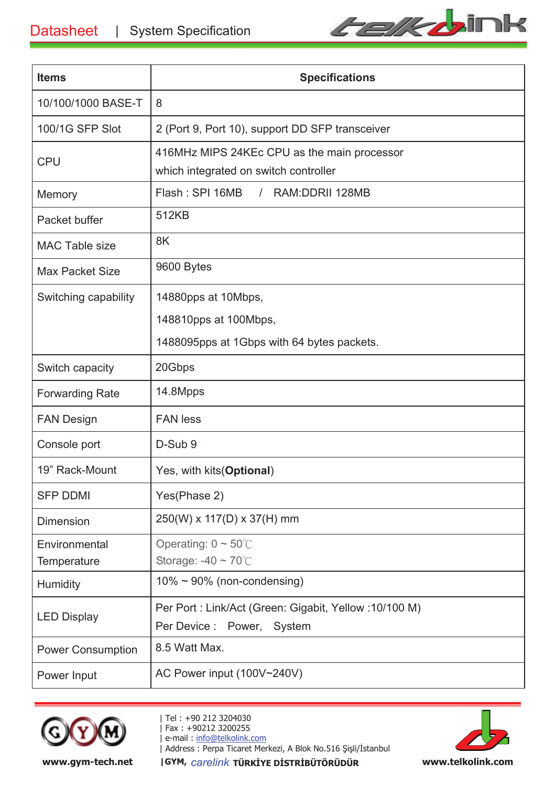

| <b>Items</b>             | <b>Specifications</b>                                 |  |
|--------------------------|-------------------------------------------------------|--|
| 10/100/1000 BASE-T       | 8                                                     |  |
| 100/1G SFP Slot          | 2 (Port 9, Port 10), support DD SFP transceiver       |  |
| <b>CPU</b>               | 416MHz MIPS 24KEc CPU as the main processor           |  |
|                          | which integrated on switch controller                 |  |
| Memory                   | Flash: SPI 16MB<br>RAM: DDRII 128MB<br>$\sqrt{2}$     |  |
| Packet buffer            | 512KB                                                 |  |
| <b>MAC Table size</b>    | 8K                                                    |  |
| <b>Max Packet Size</b>   | 9600 Bytes                                            |  |
| Switching capability     | 14880pps at 10Mbps,                                   |  |
|                          | 148810pps at 100Mbps,                                 |  |
|                          | 1488095pps at 1Gbps with 64 bytes packets.            |  |
| Switch capacity          | 20Gbps                                                |  |
| <b>Forwarding Rate</b>   | 14.8Mpps                                              |  |
| <b>FAN Design</b>        | <b>FAN</b> less                                       |  |
| Console port             | D-Sub 9                                               |  |
| 19" Rack-Mount           | Yes, with kits (Optional)                             |  |
| <b>SFP DDMI</b>          | Yes(Phase 2)                                          |  |
| <b>Dimension</b>         | 250(W) x 117(D) x 37(H) mm                            |  |
| Environmental            | Operating: $0 \sim 50^{\circ}$ C                      |  |
| Temperature              | Storage: $-40 \sim 70^{\circ}$ C                      |  |
| Humidity                 | $10\% \sim 90\%$ (non-condensing)                     |  |
| <b>LED Display</b>       | Per Port: Link/Act (Green: Gigabit, Yellow: 10/100 M) |  |
|                          | Per Device :<br>Power,<br>System                      |  |
| <b>Power Consumption</b> | 8.5 Watt Max.                                         |  |
| Power Input              | AC Power input (100V~240V)                            |  |



| Tel : +90 212 3204030 | Fax : +90212 3200255 e-mail: info@telkolink.com | - !"#\$%&'()\*+, -. www.gym-tech.net | GYM, carelink TÜRKİYE DİSTRİBÜTÖRÜDÜR

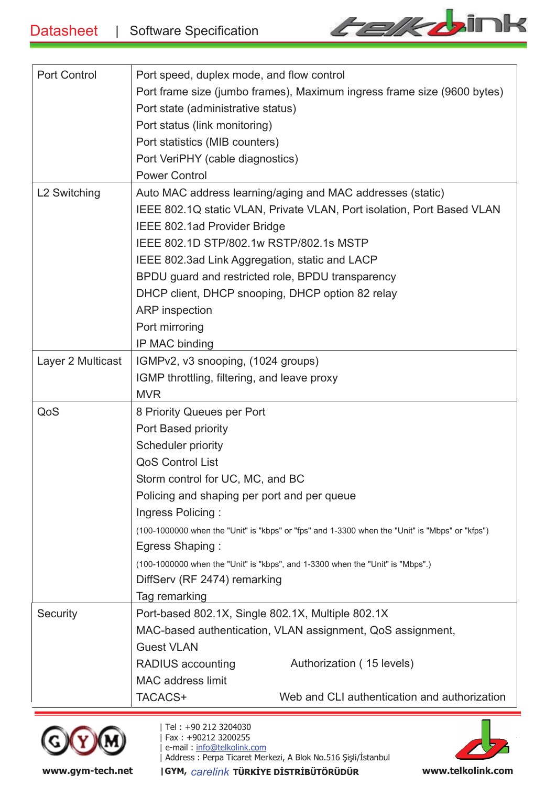

| <b>Port Control</b>      |                                                                                                 |  |  |
|--------------------------|-------------------------------------------------------------------------------------------------|--|--|
|                          | Port speed, duplex mode, and flow control                                                       |  |  |
|                          | Port frame size (jumbo frames), Maximum ingress frame size (9600 bytes)                         |  |  |
|                          | Port state (administrative status)                                                              |  |  |
|                          | Port status (link monitoring)                                                                   |  |  |
|                          | Port statistics (MIB counters)                                                                  |  |  |
|                          | Port VeriPHY (cable diagnostics)                                                                |  |  |
|                          | <b>Power Control</b>                                                                            |  |  |
| L <sub>2</sub> Switching | Auto MAC address learning/aging and MAC addresses (static)                                      |  |  |
|                          | IEEE 802.1Q static VLAN, Private VLAN, Port isolation, Port Based VLAN                          |  |  |
|                          | IEEE 802.1ad Provider Bridge                                                                    |  |  |
|                          | IEEE 802.1D STP/802.1w RSTP/802.1s MSTP                                                         |  |  |
|                          | IEEE 802.3ad Link Aggregation, static and LACP                                                  |  |  |
|                          | BPDU guard and restricted role, BPDU transparency                                               |  |  |
|                          | DHCP client, DHCP snooping, DHCP option 82 relay                                                |  |  |
|                          | <b>ARP</b> inspection                                                                           |  |  |
|                          | Port mirroring                                                                                  |  |  |
|                          | IP MAC binding                                                                                  |  |  |
| Layer 2 Multicast        |                                                                                                 |  |  |
|                          | IGMPv2, v3 snooping, (1024 groups)                                                              |  |  |
|                          | IGMP throttling, filtering, and leave proxy                                                     |  |  |
| QoS                      | <b>MVR</b>                                                                                      |  |  |
|                          | 8 Priority Queues per Port                                                                      |  |  |
|                          | Port Based priority                                                                             |  |  |
|                          | Scheduler priority                                                                              |  |  |
|                          | <b>QoS Control List</b>                                                                         |  |  |
|                          | Storm control for UC, MC, and BC                                                                |  |  |
|                          | Policing and shaping per port and per queue                                                     |  |  |
|                          | Ingress Policing:                                                                               |  |  |
|                          | (100-1000000 when the "Unit" is "kbps" or "fps" and 1-3300 when the "Unit" is "Mbps" or "kfps") |  |  |
|                          | Egress Shaping:                                                                                 |  |  |
|                          | (100-1000000 when the "Unit" is "kbps", and 1-3300 when the "Unit" is "Mbps".)                  |  |  |
|                          | DiffServ (RF 2474) remarking                                                                    |  |  |
|                          | Tag remarking                                                                                   |  |  |
| Security                 | Port-based 802.1X, Single 802.1X, Multiple 802.1X                                               |  |  |
|                          | MAC-based authentication, VLAN assignment, QoS assignment,                                      |  |  |
|                          | <b>Guest VLAN</b>                                                                               |  |  |
|                          | RADIUS accounting<br>Authorization (15 levels)                                                  |  |  |
|                          | <b>MAC</b> address limit                                                                        |  |  |
|                          | Web and CLI authentication and authorization<br>TACACS+                                         |  |  |
|                          |                                                                                                 |  |  |